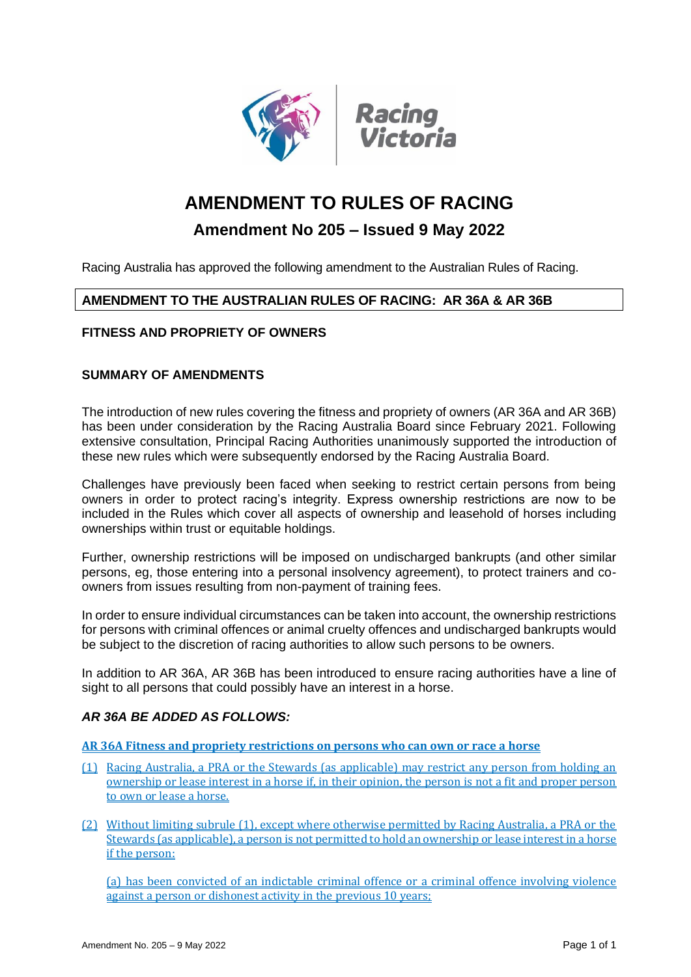

# **AMENDMENT TO RULES OF RACING**

# **Amendment No 205 – Issued 9 May 2022**

Racing Australia has approved the following amendment to the Australian Rules of Racing.

## **AMENDMENT TO THE AUSTRALIAN RULES OF RACING: AR 36A & AR 36B**

#### **FITNESS AND PROPRIETY OF OWNERS**

#### **SUMMARY OF AMENDMENTS**

The introduction of new rules covering the fitness and propriety of owners (AR 36A and AR 36B) has been under consideration by the Racing Australia Board since February 2021. Following extensive consultation, Principal Racing Authorities unanimously supported the introduction of these new rules which were subsequently endorsed by the Racing Australia Board.

Challenges have previously been faced when seeking to restrict certain persons from being owners in order to protect racing's integrity. Express ownership restrictions are now to be included in the Rules which cover all aspects of ownership and leasehold of horses including ownerships within trust or equitable holdings.

Further, ownership restrictions will be imposed on undischarged bankrupts (and other similar persons, eg, those entering into a personal insolvency agreement), to protect trainers and coowners from issues resulting from non-payment of training fees.

In order to ensure individual circumstances can be taken into account, the ownership restrictions for persons with criminal offences or animal cruelty offences and undischarged bankrupts would be subject to the discretion of racing authorities to allow such persons to be owners.

In addition to AR 36A, AR 36B has been introduced to ensure racing authorities have a line of sight to all persons that could possibly have an interest in a horse.

#### *AR 36A BE ADDED AS FOLLOWS:*

**AR 36A Fitness and propriety restrictions on persons who can own or race a horse**

- (1) Racing Australia, a PRA or the Stewards (as applicable) may restrict any person from holding an ownership or lease interest in a horse if, in their opinion, the person is not a fit and proper person to own or lease a horse.
- (2) Without limiting subrule (1), except where otherwise permitted by Racing Australia, a PRA or the Stewards (as applicable), a person is not permitted to hold an ownership or lease interest in a horse if the person:

(a) has been convicted of an indictable criminal offence or a criminal offence involving violence against a person or dishonest activity in the previous 10 years;